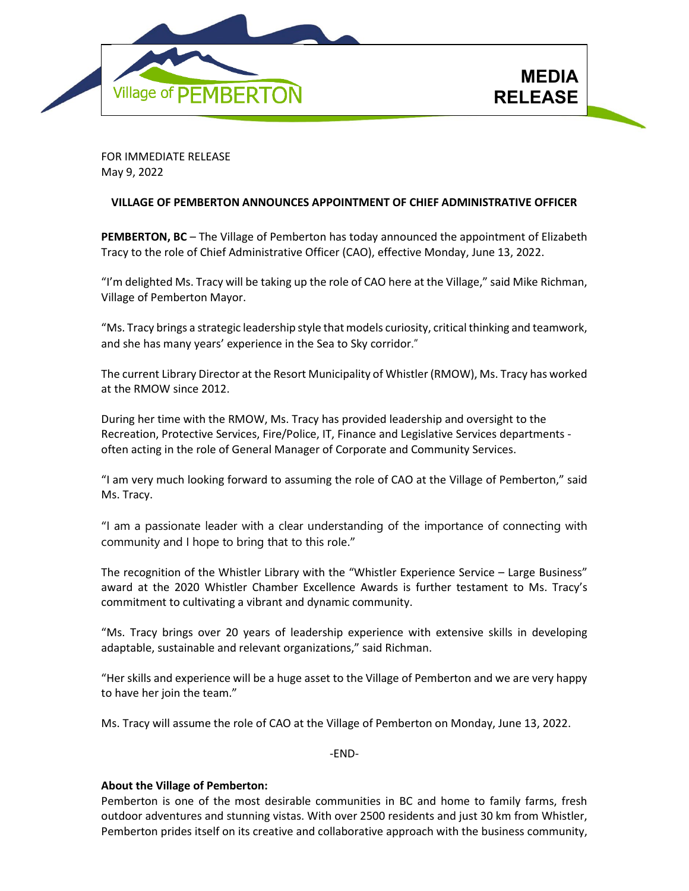

FOR IMMEDIATE RELEASE May 9, 2022

## **VILLAGE OF PEMBERTON ANNOUNCES APPOINTMENT OF CHIEF ADMINISTRATIVE OFFICER**

**PEMBERTON, BC** – The Village of Pemberton has today announced the appointment of Elizabeth Tracy to the role of Chief Administrative Officer (CAO), effective Monday, June 13, 2022.

"I'm delighted Ms. Tracy will be taking up the role of CAO here at the Village," said Mike Richman, Village of Pemberton Mayor.

"Ms. Tracy brings a strategic leadership style that models curiosity, critical thinking and teamwork, and she has many years' experience in the Sea to Sky corridor."

The current Library Director at the Resort Municipality of Whistler(RMOW), Ms. Tracy has worked at the RMOW since 2012.

During her time with the RMOW, Ms. Tracy has provided leadership and oversight to the Recreation, Protective Services, Fire/Police, IT, Finance and Legislative Services departments often acting in the role of General Manager of Corporate and Community Services.

"I am very much looking forward to assuming the role of CAO at the Village of Pemberton," said Ms. Tracy.

"I am a passionate leader with a clear understanding of the importance of connecting with community and I hope to bring that to this role."

The recognition of the Whistler Library with the "Whistler Experience Service – Large Business" award at the 2020 Whistler Chamber Excellence Awards is further testament to Ms. Tracy's commitment to cultivating a vibrant and dynamic community.

"Ms. Tracy brings over 20 years of leadership experience with extensive skills in developing adaptable, sustainable and relevant organizations," said Richman.

"Her skills and experience will be a huge asset to the Village of Pemberton and we are very happy to have her join the team."

Ms. Tracy will assume the role of CAO at the Village of Pemberton on Monday, June 13, 2022.

-END-

## **About the Village of Pemberton:**

Pemberton is one of the most desirable communities in BC and home to family farms, fresh outdoor adventures and stunning vistas. With over 2500 residents and just 30 km from Whistler, Pemberton prides itself on its creative and collaborative approach with the business community,